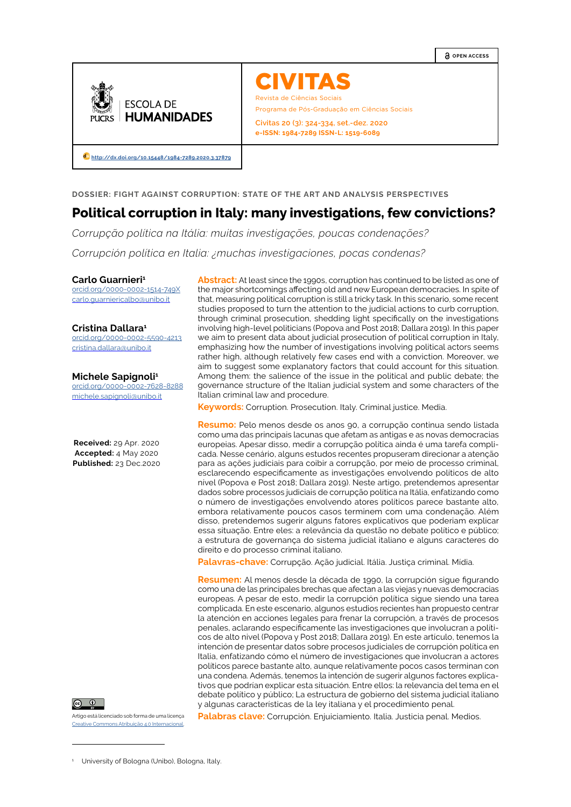**Q** OPEN ACCESS



CIVITA Revista de Ciências Sociais

Programa de Pós-Graduação em Ciências Sociais

**Civitas 20 (3): 324-334, set.-dez. 2020 e-ISSN: 1984-7289 ISSN-L: 1519-6089**

**[http://dx.doi.org/10.15448/1984-7289.2020.3.3](http://dx.doi.org/10.15448/1984-7289.2020.3.37879)7879**

**DOSSIER: FIGHT AGAINST CORRUPTION: STATE OF THE ART AND ANALYSIS PERSPECTIVES**

# **Political corruption in Italy: many investigations, few convictions?**

*Corrupção política na Itália: muitas investigações, poucas condenações?*

*Corrupción política en Italia: ¿muchas investigaciones, pocas condenas?*

#### **Carlo Guarnieri1**

[orcid.org/0000-0002-1514-749X](https://orcid.org/0000-0002-1514-749X) carlo.quarniericalbo@unibo.it

### **Cristina Dallara1**

[orcid.org/0000-0002-5590-4213](https://orcid.org/0000-0002-5590-4213) [cristina.dallara@unibo.it](mailto:cristina.dallara@unibo.it)

### **Michele Sapignoli1**

[orcid.org/0000-0002-7628-8288](https://orcid.org/0000-0002-7628-8288) [michele.sapignoli@unibo.it](mailto:michele.sapignoli@unibo.it)

**Received:** 29 Apr. 2020 **Accepted:** 4 May 2020 **Published:** 23 Dec.2020



Artigo está licenciado sob forma de uma licença Creative Commons Atribuição 4.0 Internacional.

**Abstract:** At least since the 1990s, corruption has continued to be listed as one of the major shortcomings affecting old and new European democracies. In spite of that, measuring political corruption is still a tricky task. In this scenario, some recent studies proposed to turn the attention to the judicial actions to curb corruption, through criminal prosecution, shedding light specifically on the investigations involving high-level politicians (Popova and Post 2018; Dallara 2019). In this paper we aim to present data about judicial prosecution of political corruption in Italy, emphasizing how the number of investigations involving political actors seems rather high, although relatively few cases end with a conviction. Moreover, we aim to suggest some explanatory factors that could account for this situation. Among them: the salience of the issue in the political and public debate; the governance structure of the Italian judicial system and some characters of the Italian criminal law and procedure.

**Keywords:** Corruption. Prosecution. Italy. Criminal justice. Media.

**Resumo:** Pelo menos desde os anos 90, a corrupção continua sendo listada como uma das principais lacunas que afetam as antigas e as novas democracias europeias. Apesar disso, medir a corrupção política ainda é uma tarefa complicada. Nesse cenário, alguns estudos recentes propuseram direcionar a atenção para as ações judiciais para coibir a corrupção, por meio de processo criminal, esclarecendo especificamente as investigações envolvendo políticos de alto nível (Popova e Post 2018; Dallara 2019). Neste artigo, pretendemos apresentar dados sobre processos judiciais de corrupção política na Itália, enfatizando como o número de investigações envolvendo atores políticos parece bastante alto, embora relativamente poucos casos terminem com uma condenação. Além disso, pretendemos sugerir alguns fatores explicativos que poderiam explicar essa situação. Entre eles: a relevância da questão no debate político e público; a estrutura de governança do sistema judicial italiano e alguns caracteres do direito e do processo criminal italiano.

**Palavras-chave:** Corrupção. Ação judicial. Itália. Justiça criminal. Mídia.

**Resumen:** Al menos desde la década de 1990, la corrupción sigue figurando como una de las principales brechas que afectan a las viejas y nuevas democracias europeas. A pesar de esto, medir la corrupción política sigue siendo una tarea complicada. En este escenario, algunos estudios recientes han propuesto centrar la atención en acciones legales para frenar la corrupción, a través de procesos penales, aclarando específicamente las investigaciones que involucran a políticos de alto nivel (Popova y Post 2018; Dallara 2019). En este artículo, tenemos la intención de presentar datos sobre procesos judiciales de corrupción política en Italia, enfatizando cómo el número de investigaciones que involucran a actores políticos parece bastante alto, aunque relativamente pocos casos terminan con una condena. Además, tenemos la intención de sugerir algunos factores explicativos que podrían explicar esta situación. Entre ellos: la relevancia del tema en el debate político y público; La estructura de gobierno del sistema judicial italiano y algunas características de la ley italiana y el procedimiento penal.

**Palabras clave:** Corrupción. Enjuiciamiento. Italia. Justicia penal. Medios.

<sup>1</sup> University of Bologna (Unibo), Bologna, Italy.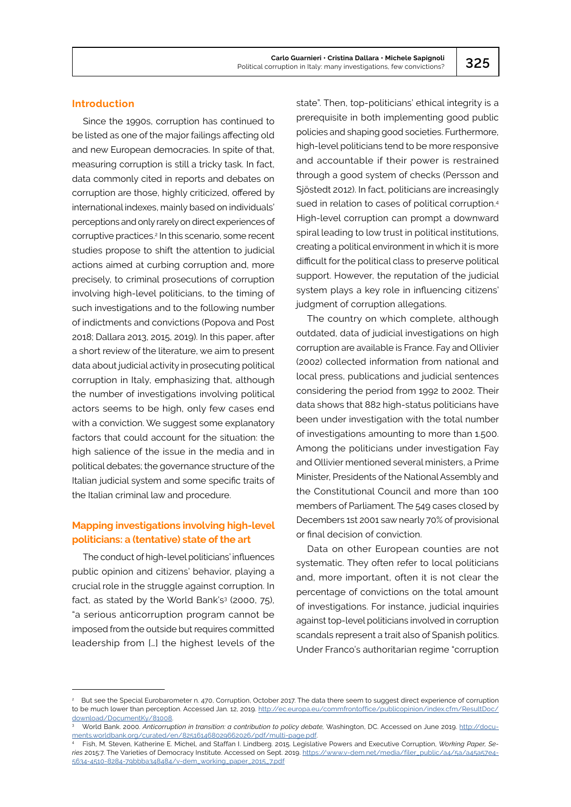# **Introduction**

Since the 1990s, corruption has continued to be listed as one of the major failings affecting old and new European democracies. In spite of that, measuring corruption is still a tricky task. In fact, data commonly cited in reports and debates on corruption are those, highly criticized, offered by international indexes, mainly based on individuals' perceptions and only rarely on direct experiences of corruptive practices.2 In this scenario, some recent studies propose to shift the attention to judicial actions aimed at curbing corruption and, more precisely, to criminal prosecutions of corruption involving high-level politicians, to the timing of such investigations and to the following number of indictments and convictions (Popova and Post 2018; Dallara 2013, 2015, 2019). In this paper, after a short review of the literature, we aim to present data about judicial activity in prosecuting political corruption in Italy, emphasizing that, although the number of investigations involving political actors seems to be high, only few cases end with a conviction. We suggest some explanatory factors that could account for the situation: the high salience of the issue in the media and in political debates; the governance structure of the Italian judicial system and some specific traits of the Italian criminal law and procedure.

# **Mapping investigations involving high-level politicians: a (tentative) state of the art**

The conduct of high-level politicians' influences public opinion and citizens' behavior, playing a crucial role in the struggle against corruption. In fact, as stated by the World Bank's<sup>3</sup> (2000, 75), "a serious anticorruption program cannot be imposed from the outside but requires committed leadership from […] the highest levels of the

state". Then, top-politicians' ethical integrity is a prerequisite in both implementing good public policies and shaping good societies. Furthermore, high-level politicians tend to be more responsive and accountable if their power is restrained through a good system of checks (Persson and Sjöstedt 2012). In fact, politicians are increasingly sued in relation to cases of political corruption.<sup>4</sup> High-level corruption can prompt a downward spiral leading to low trust in political institutions, creating a political environment in which it is more difficult for the political class to preserve political support. However, the reputation of the judicial system plays a key role in influencing citizens' judgment of corruption allegations.

The country on which complete, although outdated, data of judicial investigations on high corruption are available is France. Fay and Ollivier (2002) collected information from national and local press, publications and judicial sentences considering the period from 1992 to 2002. Their data shows that 882 high-status politicians have been under investigation with the total number of investigations amounting to more than 1.500. Among the politicians under investigation Fay and Ollivier mentioned several ministers, a Prime Minister, Presidents of the National Assembly and the Constitutional Council and more than 100 members of Parliament. The 549 cases closed by Decembers 1st 2001 saw nearly 70% of provisional or final decision of conviction.

Data on other European counties are not systematic. They often refer to local politicians and, more important, often it is not clear the percentage of convictions on the total amount of investigations. For instance, judicial inquiries against top-level politicians involved in corruption scandals represent a trait also of Spanish politics. Under Franco's authoritarian regime "corruption

<sup>2</sup> But see the Special Eurobarometer n. 470, Corruption, October 2017. The data there seem to suggest direct experience of corruption to be much lower than perception. Accessed Jan. 12, 2019. [http://ec.europa.eu/commfrontoffice/publicopinion/index.cfm/ResultDoc/](http://ec.europa.eu/commfrontoffice/publicopinion/index.cfm/ResultDoc/download/DocumentKy/81008) download/DocumentKy/81008

World Bank. 2000. *Anticorruption in transition: a contribution to policy debate,* Washington, DC. Accessed on June 2019. [http://docu](http://documents.worldbank.org/curated/en/825161468029662026/pdf/multi-page.pdf)[ments.worldbank.org/curated/en/825161468029662026/pdf/multi-page.pdf](http://documents.worldbank.org/curated/en/825161468029662026/pdf/multi-page.pdf).

<sup>4</sup> Fish, M. Steven, Katherine E. Michel, and Staffan I. Lindberg. 2015. Legislative Powers and Executive Corruption, *Working Paper, Series* 2015:7. The Varieties of Democracy Institute. Accessed on Sept. 2019. [https://www.v-dem.net/media/filer\\_public/a4/5a/a45a57e4-](https://www.v-dem.net/media/filer_public/a4/5a/a45a57e4-5634-4510-8284-79bbba348484/v-dem_working_paper_2015_7.pdf%20) [5634-4510-8284-79bbba348484/v-dem\\_working\\_paper\\_2015\\_7.pdf](https://www.v-dem.net/media/filer_public/a4/5a/a45a57e4-5634-4510-8284-79bbba348484/v-dem_working_paper_2015_7.pdf%20).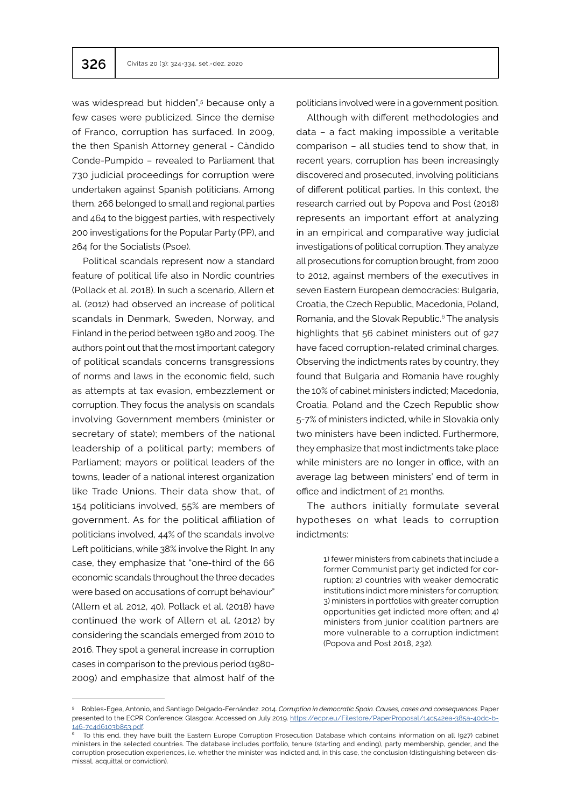was widespread but hidden",<sup>5</sup> because only a few cases were publicized. Since the demise of Franco, corruption has surfaced. In 2009, the then Spanish Attorney general - Càndido Conde-Pumpido – revealed to Parliament that 730 judicial proceedings for corruption were undertaken against Spanish politicians. Among them, 266 belonged to small and regional parties and 464 to the biggest parties, with respectively 200 investigations for the Popular Party (PP), and 264 for the Socialists (Psoe).

Political scandals represent now a standard feature of political life also in Nordic countries (Pollack et al. 2018). In such a scenario, Allern et al. (2012) had observed an increase of political scandals in Denmark, Sweden, Norway, and Finland in the period between 1980 and 2009. The authors point out that the most important category of political scandals concerns transgressions of norms and laws in the economic field, such as attempts at tax evasion, embezzlement or corruption. They focus the analysis on scandals involving Government members (minister or secretary of state); members of the national leadership of a political party; members of Parliament; mayors or political leaders of the towns, leader of a national interest organization like Trade Unions. Their data show that, of 154 politicians involved, 55% are members of government. As for the political affiliation of politicians involved, 44% of the scandals involve Left politicians, while 38% involve the Right. In any case, they emphasize that "one-third of the 66 economic scandals throughout the three decades were based on accusations of corrupt behaviour" (Allern et al. 2012, 40). Pollack et al. (2018) have continued the work of Allern et al. (2012) by considering the scandals emerged from 2010 to 2016. They spot a general increase in corruption cases in comparison to the previous period (1980- 2009) and emphasize that almost half of the

politicians involved were in a government position.

Although with different methodologies and data – a fact making impossible a veritable comparison – all studies tend to show that, in recent years, corruption has been increasingly discovered and prosecuted, involving politicians of different political parties. In this context, the research carried out by Popova and Post (2018) represents an important effort at analyzing in an empirical and comparative way judicial investigations of political corruption. They analyze all prosecutions for corruption brought, from 2000 to 2012, against members of the executives in seven Eastern European democracies: Bulgaria, Croatia, the Czech Republic, Macedonia, Poland, Romania, and the Slovak Republic.<sup>6</sup> The analysis highlights that 56 cabinet ministers out of 927 have faced corruption-related criminal charges. Observing the indictments rates by country, they found that Bulgaria and Romania have roughly the 10% of cabinet ministers indicted; Macedonia, Croatia, Poland and the Czech Republic show 5-7% of ministers indicted, while in Slovakia only two ministers have been indicted. Furthermore, they emphasize that most indictments take place while ministers are no longer in office, with an average lag between ministers' end of term in office and indictment of 21 months.

The authors initially formulate several hypotheses on what leads to corruption indictments:

> 1) fewer ministers from cabinets that include a former Communist party get indicted for corruption; 2) countries with weaker democratic institutions indict more ministers for corruption; 3) ministers in portfolios with greater corruption opportunities get indicted more often; and 4) ministers from junior coalition partners are more vulnerable to a corruption indictment (Popova and Post 2018, 232).

<sup>5</sup> Robles-Egea, Antonio, and Santiago Delgado-Fernández. 2014. *Corruption in democratic Spain. Causes, cases and consequences*. Paper presented to the ECPR Conference: Glasgow. Accessed on July 2019. [https://ecpr.eu/Filestore/PaperProposal/14c542ea-385a-40dc-b](https://ecpr.eu/Filestore/PaperProposal/14c542ea-385a-40dc-b146-7c4d6103b853.pdf)-[146-7c4d6103b853.pdf](https://ecpr.eu/Filestore/PaperProposal/14c542ea-385a-40dc-b146-7c4d6103b853.pdf).<br><sup>6</sup> To this end, they have built the Eastern Europe Corruption Prosecution Database which contains information on all (927) cabinet

ministers in the selected countries. The database includes portfolio, tenure (starting and ending), party membership, gender, and the corruption prosecution experiences, i.e. whether the minister was indicted and, in this case, the conclusion (distinguishing between dismissal, acquittal or conviction).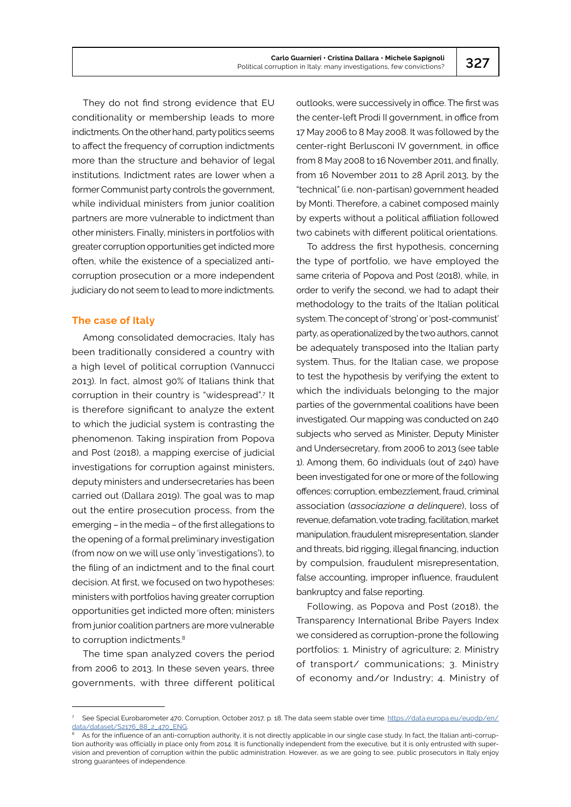They do not find strong evidence that EU conditionality or membership leads to more indictments. On the other hand, party politics seems to affect the frequency of corruption indictments more than the structure and behavior of legal institutions. Indictment rates are lower when a former Communist party controls the government, while individual ministers from junior coalition partners are more vulnerable to indictment than other ministers. Finally, ministers in portfolios with greater corruption opportunities get indicted more often, while the existence of a specialized anticorruption prosecution or a more independent judiciary do not seem to lead to more indictments.

# **The case of Italy**

Among consolidated democracies, Italy has been traditionally considered a country with a high level of political corruption (Vannucci 2013). In fact, almost 90% of Italians think that corruption in their country is "widespread".<sup>7</sup> It is therefore significant to analyze the extent to which the judicial system is contrasting the phenomenon. Taking inspiration from Popova and Post (2018), a mapping exercise of judicial investigations for corruption against ministers, deputy ministers and undersecretaries has been carried out (Dallara 2019). The goal was to map out the entire prosecution process, from the emerging – in the media – of the first allegations to the opening of a formal preliminary investigation (from now on we will use only 'investigations'), to the filing of an indictment and to the final court decision. At first, we focused on two hypotheses: ministers with portfolios having greater corruption opportunities get indicted more often; ministers from junior coalition partners are more vulnerable to corruption indictments.<sup>8</sup>

The time span analyzed covers the period from 2006 to 2013. In these seven years, three governments, with three different political outlooks, were successively in office. The first was the center-left Prodi II government, in office from 17 May 2006 to 8 May 2008. It was followed by the center-right Berlusconi IV government, in office from 8 May 2008 to 16 November 2011, and finally, from 16 November 2011 to 28 April 2013, by the "technical" (i.e. non-partisan) government headed by Monti. Therefore, a cabinet composed mainly by experts without a political affiliation followed two cabinets with different political orientations.

To address the first hypothesis, concerning the type of portfolio, we have employed the same criteria of Popova and Post (2018), while, in order to verify the second, we had to adapt their methodology to the traits of the Italian political system. The concept of 'strong' or 'post-communist' party, as operationalized by the two authors, cannot be adequately transposed into the Italian party system. Thus, for the Italian case, we propose to test the hypothesis by verifying the extent to which the individuals belonging to the major parties of the governmental coalitions have been investigated. Our mapping was conducted on 240 subjects who served as Minister, Deputy Minister and Undersecretary, from 2006 to 2013 (see table 1). Among them, 60 individuals (out of 240) have been investigated for one or more of the following offences: corruption, embezzlement, fraud, criminal association (*associazione a delinquere*), loss of revenue, defamation, vote trading, facilitation, market manipulation, fraudulent misrepresentation, slander and threats, bid rigging, illegal financing, induction by compulsion, fraudulent misrepresentation, false accounting, improper influence, fraudulent bankruptcy and false reporting.

Following, as Popova and Post (2018), the Transparency International Bribe Payers Index we considered as corruption-prone the following portfolios: 1. Ministry of agriculture; 2. Ministry of transport/ communications; 3. Ministry of economy and/or Industry; 4. Ministry of

<sup>7</sup> See Special Eurobarometer 470, Corruption, October 2017, p. 18. The data seem stable over time. [https://data.europa.eu/euodp/en/](https://data.europa.eu/euodp/en/data/dataset/S2176_88_2_470_ENG) [data/dataset/S2176\\_88\\_2\\_470\\_ENG](https://data.europa.eu/euodp/en/data/dataset/S2176_88_2_470_ENG).

As for the influence of an anti-corruption authority, it is not directly applicable in our single case study. In fact, the Italian anti-corruption authority was officially in place only from 2014. It is functionally independent from the executive, but it is only entrusted with supervision and prevention of corruption within the public administration. However, as we are going to see, public prosecutors in Italy enjoy strong guarantees of independence.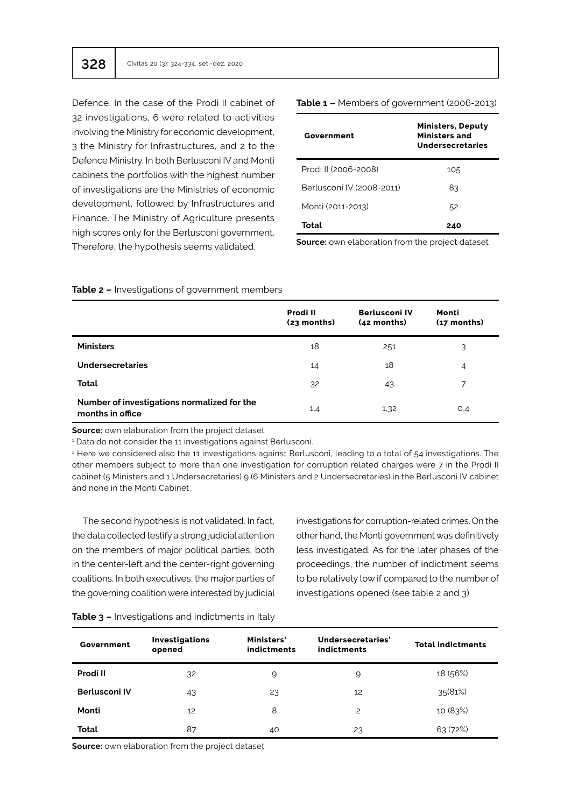Defence. In the case of the Prodi II cabinet of 32 investigations, 6 were related to activities involving the Ministry for economic development, 3 the Ministry for Infrastructures, and 2 to the Defence Ministry. In both Berlusconi IV and Monti cabinets the portfolios with the highest number of investigations are the Ministries of economic development, followed by Infrastructures and Finance. The Ministry of Agriculture presents high scores only for the Berlusconi government. Therefore, the hypothesis seems validated.

| Government                | <b>Ministers, Deputy</b><br><b>Ministers and</b><br>Undersecretaries |
|---------------------------|----------------------------------------------------------------------|
| Prodi II (2006-2008)      | 105                                                                  |
| Berlusconi IV (2008-2011) | 83                                                                   |
| Monti (2011-2013)         | 52                                                                   |
| Total                     | 240                                                                  |

**Table 1 –** Members of government (2006-2013)

**Source:** own elaboration from the project dataset

|                                                                 | Prodi II<br>$(23$ months) | <b>Berlusconi IV</b><br>$(42$ months) | Monti<br>$(17$ months) |
|-----------------------------------------------------------------|---------------------------|---------------------------------------|------------------------|
| <b>Ministers</b>                                                | 18                        | 251                                   | 3                      |
| Undersecretaries                                                | 14                        | 18                                    | $\overline{4}$         |
| Total                                                           | 32                        | 43                                    | 7                      |
| Number of investigations normalized for the<br>months in office | 1,4                       | 1,32                                  | O,4                    |

#### **Table 2 –** Investigations of government members

**Source:** own elaboration from the project dataset

1 Data do not consider the 11 investigations against Berlusconi.

2 Here we considered also the 11 investigations against Berlusconi, leading to a total of 54 investigations. The other members subject to more than one investigation for corruption related charges were 7 in the Prodi II cabinet (5 Ministers and 1 Undersecretaries) 9 (6 Ministers and 2 Undersecretaries) in the Berlusconi IV cabinet and none in the Monti Cabinet.

The second hypothesis is not validated. In fact, the data collected testify a strong judicial attention on the members of major political parties, both in the center-left and the center-right governing coalitions. In both executives, the major parties of the governing coalition were interested by judicial

investigations for corruption-related crimes. On the other hand, the Monti government was definitively less investigated. As for the later phases of the proceedings, the number of indictment seems to be relatively low if compared to the number of investigations opened (see table 2 and 3).

| Government    | <b>Investigations</b><br>opened | Ministers'<br>indictments | Undersecretaries'<br>indictments | <b>Total indictments</b> |
|---------------|---------------------------------|---------------------------|----------------------------------|--------------------------|
| Prodi II      | 32                              | 9                         | 9                                | 18 (56%)                 |
| Berlusconi IV | 43                              | 23                        | 12                               | 35(81%)                  |
| Monti         | 12                              | 8                         | 2                                | 10 (83%)                 |
| Total         | 87                              | 40                        | 23                               | 63(72%)                  |

#### **Table 3 –** Investigations and indictments in Italy

**Source:** own elaboration from the project dataset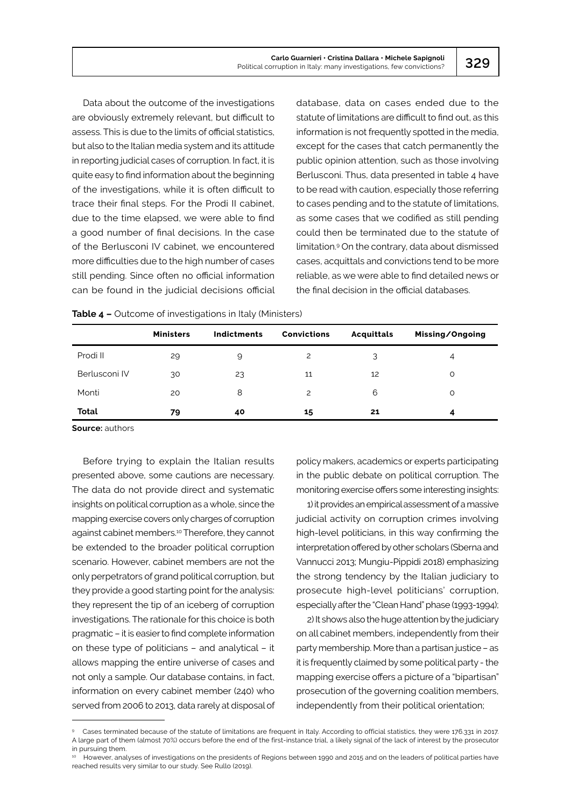Data about the outcome of the investigations are obviously extremely relevant, but difficult to assess. This is due to the limits of official statistics, but also to the Italian media system and its attitude in reporting judicial cases of corruption. In fact, it is quite easy to find information about the beginning of the investigations, while it is often difficult to trace their final steps. For the Prodi II cabinet, due to the time elapsed, we were able to find a good number of final decisions. In the case of the Berlusconi IV cabinet, we encountered more difficulties due to the high number of cases still pending. Since often no official information can be found in the judicial decisions official database, data on cases ended due to the statute of limitations are difficult to find out, as this information is not frequently spotted in the media, except for the cases that catch permanently the public opinion attention, such as those involving Berlusconi. Thus, data presented in table 4 have to be read with caution, especially those referring to cases pending and to the statute of limitations, as some cases that we codified as still pending could then be terminated due to the statute of limitation.9 On the contrary, data about dismissed cases, acquittals and convictions tend to be more reliable, as we were able to find detailed news or the final decision in the official databases.

|               | <b>Ministers</b> | Indictments | <b>Convictions</b> | Acquittals | Missing/Ongoing |
|---------------|------------------|-------------|--------------------|------------|-----------------|
| Prodi II      | 29               | 9           | 2                  | 3          | 4               |
| Berlusconi IV | 30               | 23          | 11                 | 12         | O               |
| Monti         | 20               | 8           | 2                  | 6          | O               |
| Total         | 79               | 40          | 15                 | 21         | 4               |

**Table 4 –** Outcome of investigations in Italy (Ministers)

**Source:** authors

Before trying to explain the Italian results presented above, some cautions are necessary. The data do not provide direct and systematic insights on political corruption as a whole, since the mapping exercise covers only charges of corruption against cabinet members.10 Therefore, they cannot be extended to the broader political corruption scenario. However, cabinet members are not the only perpetrators of grand political corruption, but they provide a good starting point for the analysis: they represent the tip of an iceberg of corruption investigations. The rationale for this choice is both pragmatic – it is easier to find complete information on these type of politicians – and analytical – it allows mapping the entire universe of cases and not only a sample. Our database contains, in fact, information on every cabinet member (240) who served from 2006 to 2013, data rarely at disposal of

policy makers, academics or experts participating in the public debate on political corruption. The monitoring exercise offers some interesting insights:

1) it provides an empirical assessment of a massive judicial activity on corruption crimes involving high-level politicians, in this way confirming the interpretation offered by other scholars (Sberna and Vannucci 2013; Mungiu-Pippidi 2018) emphasizing the strong tendency by the Italian judiciary to prosecute high-level politicians' corruption, especially after the "Clean Hand" phase (1993-1994);

2) It shows also the huge attention by the judiciary on all cabinet members, independently from their party membership. More than a partisan justice – as it is frequently claimed by some political party - the mapping exercise offers a picture of a "bipartisan" prosecution of the governing coalition members, independently from their political orientation;

Cases terminated because of the statute of limitations are frequent in Italy. According to official statistics, they were 176.331 in 2017. A large part of them (almost 70%) occurs before the end of the first-instance trial, a likely signal of the lack of interest by the prosecutor in pursuing them.

<sup>10</sup> However, analyses of investigations on the presidents of Regions between 1990 and 2015 and on the leaders of political parties have reached results very similar to our study. See Rullo (2019).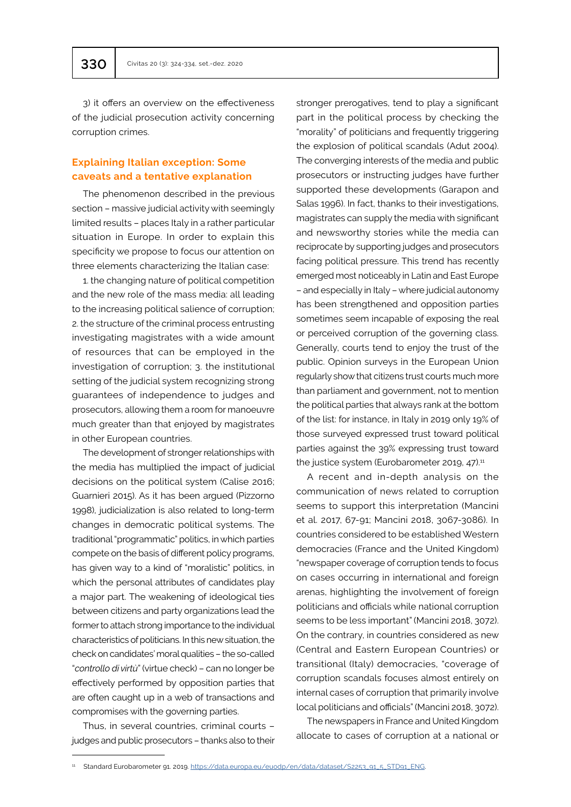3) it offers an overview on the effectiveness of the judicial prosecution activity concerning corruption crimes.

# **Explaining Italian exception: Some caveats and a tentative explanation**

The phenomenon described in the previous section – massive judicial activity with seemingly limited results – places Italy in a rather particular situation in Europe. In order to explain this specificity we propose to focus our attention on three elements characterizing the Italian case:

1. the changing nature of political competition and the new role of the mass media: all leading to the increasing political salience of corruption; 2. the structure of the criminal process entrusting investigating magistrates with a wide amount of resources that can be employed in the investigation of corruption; 3. the institutional setting of the judicial system recognizing strong guarantees of independence to judges and prosecutors, allowing them a room for manoeuvre much greater than that enjoyed by magistrates in other European countries.

The development of stronger relationships with the media has multiplied the impact of judicial decisions on the political system (Calise 2016; Guarnieri 2015). As it has been argued (Pizzorno 1998), judicialization is also related to long-term changes in democratic political systems. The traditional "programmatic" politics, in which parties compete on the basis of different policy programs, has given way to a kind of "moralistic" politics, in which the personal attributes of candidates play a major part. The weakening of ideological ties between citizens and party organizations lead the former to attach strong importance to the individual characteristics of politicians. In this new situation, the check on candidates' moral qualities – the so-called "*controllo di virtù*" (virtue check) – can no longer be effectively performed by opposition parties that are often caught up in a web of transactions and compromises with the governing parties.

Thus, in several countries, criminal courts – judges and public prosecutors – thanks also to their stronger prerogatives, tend to play a significant part in the political process by checking the "morality" of politicians and frequently triggering the explosion of political scandals (Adut 2004). The converging interests of the media and public prosecutors or instructing judges have further supported these developments (Garapon and Salas 1996). In fact, thanks to their investigations, magistrates can supply the media with significant and newsworthy stories while the media can reciprocate by supporting judges and prosecutors facing political pressure. This trend has recently emerged most noticeably in Latin and East Europe – and especially in Italy – where judicial autonomy has been strengthened and opposition parties sometimes seem incapable of exposing the real or perceived corruption of the governing class. Generally, courts tend to enjoy the trust of the public. Opinion surveys in the European Union regularly show that citizens trust courts much more than parliament and government, not to mention the political parties that always rank at the bottom of the list: for instance, in Italy in 2019 only 19% of those surveyed expressed trust toward political parties against the 39% expressing trust toward the justice system (Eurobarometer 2019, 47).<sup>11</sup>

A recent and in-depth analysis on the communication of news related to corruption seems to support this interpretation (Mancini et al. 2017, 67-91; Mancini 2018, 3067-3086). In countries considered to be established Western democracies (France and the United Kingdom) "newspaper coverage of corruption tends to focus on cases occurring in international and foreign arenas, highlighting the involvement of foreign politicians and officials while national corruption seems to be less important" (Mancini 2018, 3072). On the contrary, in countries considered as new (Central and Eastern European Countries) or transitional (Italy) democracies, "coverage of corruption scandals focuses almost entirely on internal cases of corruption that primarily involve local politicians and officials" (Mancini 2018, 3072).

The newspapers in France and United Kingdom allocate to cases of corruption at a national or

<sup>&</sup>lt;sup>11</sup> Standard Eurobarometer 91. 2019. [https://data.europa.eu/euodp/en/data/dataset/S2253\\_91\\_5\\_STD91\\_ENG](https://data.europa.eu/euodp/en/data/dataset/S2253_91_5_STD91_ENG).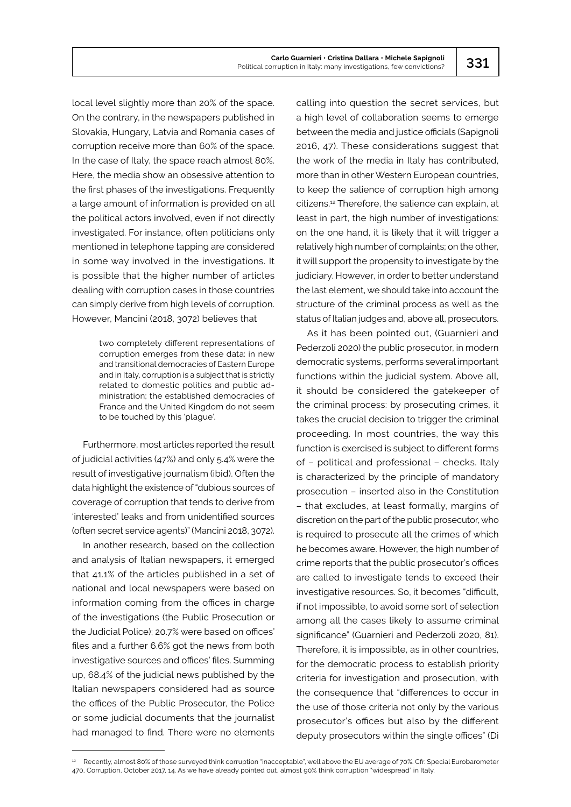local level slightly more than 20% of the space. On the contrary, in the newspapers published in Slovakia, Hungary, Latvia and Romania cases of corruption receive more than 60% of the space. In the case of Italy, the space reach almost 80%. Here, the media show an obsessive attention to the first phases of the investigations. Frequently a large amount of information is provided on all the political actors involved, even if not directly investigated. For instance, often politicians only mentioned in telephone tapping are considered in some way involved in the investigations. It is possible that the higher number of articles dealing with corruption cases in those countries can simply derive from high levels of corruption. However, Mancini (2018, 3072) believes that

> two completely different representations of corruption emerges from these data: in new and transitional democracies of Eastern Europe and in Italy, corruption is a subject that is strictly related to domestic politics and public administration; the established democracies of France and the United Kingdom do not seem to be touched by this 'plague'.

Furthermore, most articles reported the result of judicial activities (47%) and only 5.4% were the result of investigative journalism (ibid). Often the data highlight the existence of "dubious sources of coverage of corruption that tends to derive from 'interested' leaks and from unidentified sources (often secret service agents)" (Mancini 2018, 3072).

In another research, based on the collection and analysis of Italian newspapers, it emerged that 41.1% of the articles published in a set of national and local newspapers were based on information coming from the offices in charge of the investigations (the Public Prosecution or the Judicial Police); 20.7% were based on offices' files and a further 6.6% got the news from both investigative sources and offices' files. Summing up, 68.4% of the judicial news published by the Italian newspapers considered had as source the offices of the Public Prosecutor, the Police or some judicial documents that the journalist had managed to find. There were no elements

calling into question the secret services, but a high level of collaboration seems to emerge between the media and justice officials (Sapignoli 2016, 47). These considerations suggest that the work of the media in Italy has contributed, more than in other Western European countries, to keep the salience of corruption high among citizens.12 Therefore, the salience can explain, at least in part, the high number of investigations: on the one hand, it is likely that it will trigger a relatively high number of complaints; on the other, it will support the propensity to investigate by the judiciary. However, in order to better understand the last element, we should take into account the structure of the criminal process as well as the status of Italian judges and, above all, prosecutors.

As it has been pointed out, (Guarnieri and Pederzoli 2020) the public prosecutor, in modern democratic systems, performs several important functions within the judicial system. Above all, it should be considered the gatekeeper of the criminal process: by prosecuting crimes, it takes the crucial decision to trigger the criminal proceeding. In most countries, the way this function is exercised is subject to different forms of – political and professional – checks. Italy is characterized by the principle of mandatory prosecution – inserted also in the Constitution – that excludes, at least formally, margins of discretion on the part of the public prosecutor, who is required to prosecute all the crimes of which he becomes aware. However, the high number of crime reports that the public prosecutor's offices are called to investigate tends to exceed their investigative resources. So, it becomes "difficult, if not impossible, to avoid some sort of selection among all the cases likely to assume criminal significance" (Guarnieri and Pederzoli 2020, 81). Therefore, it is impossible, as in other countries, for the democratic process to establish priority criteria for investigation and prosecution, with the consequence that "differences to occur in the use of those criteria not only by the various prosecutor's offices but also by the different deputy prosecutors within the single offices" (Di

<sup>&</sup>lt;sup>12</sup> Recently, almost 80% of those surveyed think corruption "inacceptable", well above the EU average of 70%. Cfr. Special Eurobarometer 470, Corruption, October 2017, 14. As we have already pointed out, almost 90% think corruption "widespread" in Italy.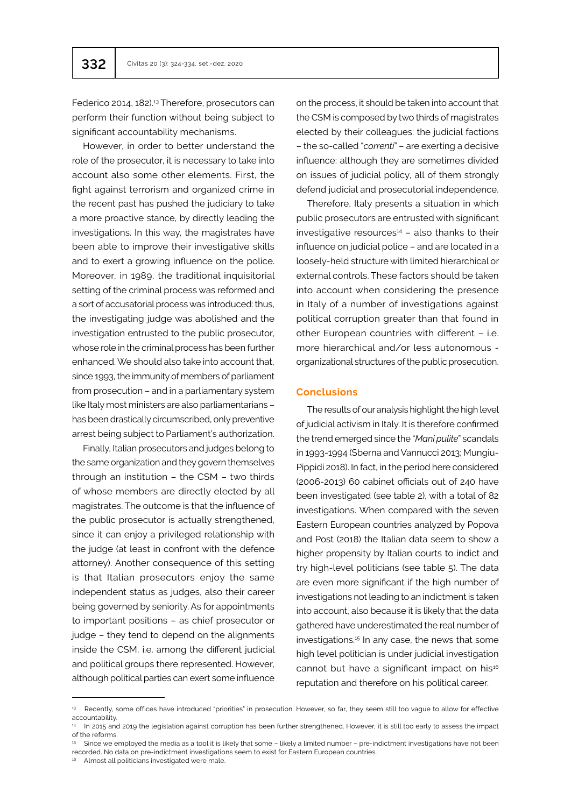Federico 2014, 182).<sup>13</sup> Therefore, prosecutors can perform their function without being subject to significant accountability mechanisms.

However, in order to better understand the role of the prosecutor, it is necessary to take into account also some other elements. First, the fight against terrorism and organized crime in the recent past has pushed the judiciary to take a more proactive stance, by directly leading the investigations. In this way, the magistrates have been able to improve their investigative skills and to exert a growing influence on the police. Moreover, in 1989, the traditional inquisitorial setting of the criminal process was reformed and a sort of accusatorial process was introduced: thus, the investigating judge was abolished and the investigation entrusted to the public prosecutor, whose role in the criminal process has been further enhanced. We should also take into account that, since 1993, the immunity of members of parliament from prosecution – and in a parliamentary system like Italy most ministers are also parliamentarians – has been drastically circumscribed, only preventive arrest being subject to Parliament's authorization.

Finally, Italian prosecutors and judges belong to the same organization and they govern themselves through an institution – the CSM – two thirds of whose members are directly elected by all magistrates. The outcome is that the influence of the public prosecutor is actually strengthened, since it can enjoy a privileged relationship with the judge (at least in confront with the defence attorney). Another consequence of this setting is that Italian prosecutors enjoy the same independent status as judges, also their career being governed by seniority. As for appointments to important positions – as chief prosecutor or judge – they tend to depend on the alignments inside the CSM, i.e. among the different judicial and political groups there represented. However, although political parties can exert some influence

on the process, it should be taken into account that the CSM is composed by two thirds of magistrates elected by their colleagues: the judicial factions – the so-called "*correnti*" – are exerting a decisive influence: although they are sometimes divided on issues of judicial policy, all of them strongly defend judicial and prosecutorial independence.

Therefore, Italy presents a situation in which public prosecutors are entrusted with significant  $investigative$  resources $44$  – also thanks to their influence on judicial police – and are located in a loosely-held structure with limited hierarchical or external controls. These factors should be taken into account when considering the presence in Italy of a number of investigations against political corruption greater than that found in other European countries with different – i.e. more hierarchical and/or less autonomous organizational structures of the public prosecution.

## **Conclusions**

The results of our analysis highlight the high level of judicial activism in Italy. It is therefore confirmed the trend emerged since the "*Mani pulite*" scandals in 1993-1994 (Sberna and Vannucci 2013; Mungiu-Pippidi 2018). In fact, in the period here considered (2006-2013) 60 cabinet officials out of 240 have been investigated (see table 2), with a total of 82 investigations. When compared with the seven Eastern European countries analyzed by Popova and Post (2018) the Italian data seem to show a higher propensity by Italian courts to indict and try high-level politicians (see table 5). The data are even more significant if the high number of investigations not leading to an indictment is taken into account, also because it is likely that the data gathered have underestimated the real number of investigations.15 In any case, the news that some high level politician is under judicial investigation cannot but have a significant impact on his<sup>16</sup> reputation and therefore on his political career.

<sup>&</sup>lt;sup>13</sup> Recently, some offices have introduced "priorities" in prosecution. However, so far, they seem still too vague to allow for effective accountability.

<sup>&</sup>lt;sup>14</sup> In 2015 and 2019 the legislation against corruption has been further strengthened. However, it is still too early to assess the impact of the reforms.

<sup>15</sup> Since we employed the media as a tool it is likely that some - likely a limited number - pre-indictment investigations have not been recorded. No data on pre-indictment investigations seem to exist for Eastern European countries.

Almost all politicians investigated were male.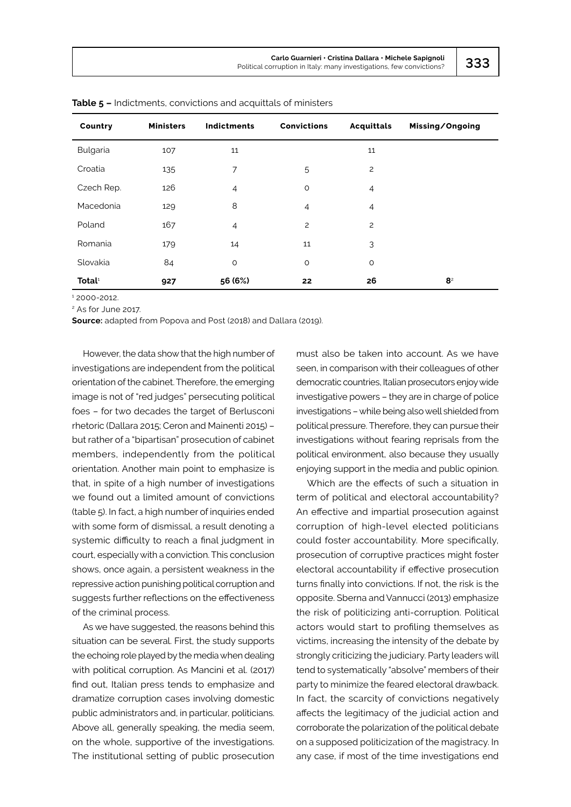| Country            | <b>Ministers</b> | <b>Indictments</b> | <b>Convictions</b> | <b>Acquittals</b> | Missing/Ongoing |
|--------------------|------------------|--------------------|--------------------|-------------------|-----------------|
| Bulgaria           | 107              | 11                 |                    | 11                |                 |
| Croatia            | 135              | $\overline{7}$     | 5                  | $\overline{c}$    |                 |
| Czech Rep.         | 126              | $\overline{4}$     | $\circ$            | $\overline{4}$    |                 |
| Macedonia          | 129              | 8                  | $\overline{4}$     | $\overline{4}$    |                 |
| Poland             | 167              | $\overline{4}$     | $\overline{c}$     | $\overline{c}$    |                 |
| Romania            | 179              | 14                 | 11                 | 3                 |                 |
| Slovakia           | 84               | $\circ$            | $\circ$            | $\circ$           |                 |
| Total <sup>1</sup> | 927              | 56 (6%)            | 22                 | 26                | 8 <sup>2</sup>  |

**Table 5 –** Indictments, convictions and acquittals of ministers

1 2000-2012.

2 As for June 2017.

**Source:** adapted from Popova and Post (2018) and Dallara (2019).

However, the data show that the high number of investigations are independent from the political orientation of the cabinet. Therefore, the emerging image is not of "red judges" persecuting political foes – for two decades the target of Berlusconi rhetoric (Dallara 2015; Ceron and Mainenti 2015) – but rather of a "bipartisan" prosecution of cabinet members, independently from the political orientation. Another main point to emphasize is that, in spite of a high number of investigations we found out a limited amount of convictions (table 5). In fact, a high number of inquiries ended with some form of dismissal, a result denoting a systemic difficulty to reach a final judgment in court, especially with a conviction. This conclusion shows, once again, a persistent weakness in the repressive action punishing political corruption and suggests further reflections on the effectiveness of the criminal process.

As we have suggested, the reasons behind this situation can be several. First, the study supports the echoing role played by the media when dealing with political corruption. As Mancini et al. (2017) find out, Italian press tends to emphasize and dramatize corruption cases involving domestic public administrators and, in particular, politicians. Above all, generally speaking, the media seem, on the whole, supportive of the investigations. The institutional setting of public prosecution

must also be taken into account. As we have seen, in comparison with their colleagues of other democratic countries, Italian prosecutors enjoy wide investigative powers – they are in charge of police investigations – while being also well shielded from political pressure. Therefore, they can pursue their investigations without fearing reprisals from the political environment, also because they usually enjoying support in the media and public opinion.

Which are the effects of such a situation in term of political and electoral accountability? An effective and impartial prosecution against corruption of high-level elected politicians could foster accountability. More specifically, prosecution of corruptive practices might foster electoral accountability if effective prosecution turns finally into convictions. If not, the risk is the opposite. Sberna and Vannucci (2013) emphasize the risk of politicizing anti-corruption. Political actors would start to profiling themselves as victims, increasing the intensity of the debate by strongly criticizing the judiciary. Party leaders will tend to systematically "absolve" members of their party to minimize the feared electoral drawback. In fact, the scarcity of convictions negatively affects the legitimacy of the judicial action and corroborate the polarization of the political debate on a supposed politicization of the magistracy. In any case, if most of the time investigations end